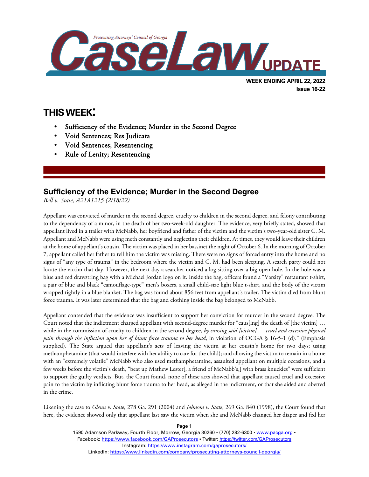

# **THIS WEEK:**

l

- Sufficiency of the Evidence; Murder in the Second Degree
- Void Sentences; Res Judicata
- Void Sentences; Resentencing
- Rule of Lenity; Resentencing

## **Sufficiency of the Evidence; Murder in the Second Degree**

*Bell v. State, A21A1215 (2/18/22)*

Appellant was convicted of murder in the second degree, cruelty to children in the second degree, and felony contributing to the dependency of a minor, in the death of her two-week-old daughter. The evidence, very briefly stated, showed that appellant lived in a trailer with McNabb, her boyfriend and father of the victim and the victim's two-year-old sister C. M. Appellant and McNabb were using meth constantly and neglecting their children. At times, they would leave their children at the home of appellant's cousin. The victim was placed in her bassinet the night of October 6. In the morning of October 7, appellant called her father to tell him the victim was missing. There were no signs of forced entry into the home and no signs of "any type of trauma" in the bedroom where the victim and C. M. had been sleeping. A search party could not locate the victim that day. However, the next day a searcher noticed a log sitting over a big open hole. In the hole was a blue and red drawstring bag with a Michael Jordan logo on it. Inside the bag, officers found a "Varsity" restaurant t-shirt, a pair of blue and black "camouflage-type" men's boxers, a small child-size light blue t-shirt, and the body of the victim wrapped tightly in a blue blanket. The bag was found about 856 feet from appellant's trailer. The victim died from blunt force trauma. It was later determined that the bag and clothing inside the bag belonged to McNabb.

Appellant contended that the evidence was insufficient to support her conviction for murder in the second degree. The Court noted that the indictment charged appellant with second-degree murder for "caus[ing] the death of [the victim] … while in the commission of cruelty to children in the second degree, *by causing said [victim] … cruel and excessive physical pain through the infliction upon her of blunt force trauma to her head*, in violation of OCGA § 16-5-1 (d)." (Emphasis supplied). The State argued that appellant's acts of leaving the victim at her cousin's home for two days; using methamphetamine (that would interfere with her ability to care for the child); and allowing the victim to remain in a home with an "extremely volatile" McNabb who also used methamphetamine, assaulted appellant on multiple occasions, and a few weeks before the victim's death, "beat up Mathew Lester[, a friend of McNabb's,] with brass knuckles" were sufficient to support the guilty verdicts. But, the Court found, none of these acts showed that appellant caused cruel and excessive pain to the victim by inflicting blunt force trauma to her head, as alleged in the indictment, or that she aided and abetted in the crime.

Likening the case to *Glenn v. State*, 278 Ga. 291 (2004) and *Johnson v. State*, 269 Ga. 840 (1998), the Court found that here, the evidence showed only that appellant last saw the victim when she and McNabb changed her diaper and fed her

> 1590 Adamson Parkway, Fourth Floor, Morrow, Georgia 30260 · (770) 282-6300 · www.pacqa.org · Facebook:<https://www.facebook.com/GAProsecutors> . Twitter[: https://twitter.com/GAProsecutors](https://twitter.com/GAProsecutors) Instagram[: https://www.instagram.com/gaprosecutors/](https://www.instagram.com/gaprosecutors/) LinkedIn:<https://www.linkedin.com/company/prosecuting-attorneys-council-georgia/>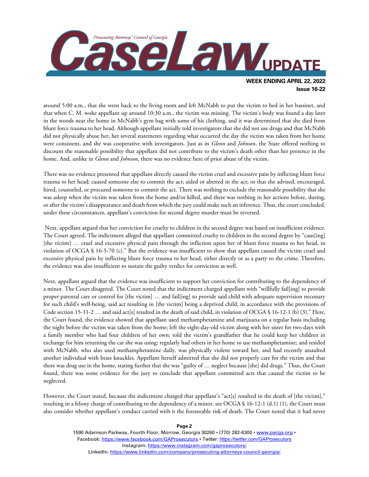

around 5:00 a.m., that she went back to the living room and left McNabb to put the victim to bed in her bassinet, and that when C. M. woke appellant up around 10:30 a.m., the victim was missing. The victim's body was found a day later in the woods near the home in McNabb's gym bag with some of his clothing, and it was determined that she died from blunt force trauma to her head. Although appellant initially told investigators that she did not use drugs and that McNabb did not physically abuse her, her several statements regarding what occurred the day the victim was taken from her home were consistent, and she was cooperative with investigators. Just as in *Glenn* and *Johnson*, the State offered nothing to discount the reasonable possibility that appellant did not contribute to the victim's death other than her presence in the home. And, unlike in *Glenn* and *Johnson*, there was no evidence here of prior abuse of the victim.

There was no evidence presented that appellant directly caused the victim cruel and excessive pain by inflicting blunt force trauma to her head; caused someone else to commit the act; aided or abetted in the act; or that she advised, encouraged, hired, counseled, or procured someone to commit the act. There was nothing to exclude the reasonable possibility that she was asleep when the victim was taken from the home and/or killed, and there was nothing in her actions before, during, or after the victim's disappearance and death from which the jury could make such an inference. Thus, the court concluded, under these circumstances, appellant's conviction for second degree murder must be reversed.

Next, appellant argued that her conviction for cruelty to children in the second degree was based on insufficient evidence. The Court agreed. The indictment alleged that appellant committed cruelty to children in the second degree by "caus[ing] [the victim] … cruel and excessive physical pain through the infliction upon her of blunt force trauma to her head, in violation of OCGA § 16-5-70 (c)." But the evidence was insufficient to show that appellant caused the victim cruel and excessive physical pain by inflicting blunt force trauma to her head, either directly or as a party to the crime. Therefore, the evidence was also insufficient to sustain the guilty verdict for conviction as well.

Next, appellant argued that the evidence was insufficient to support her conviction for contributing to the dependency of a minor. The Court disagreed. The Court noted that the indictment charged appellant with "willfully fail[ing] to provide proper parental care or control for [the victim] … and fail[ing] to provide said child with adequate supervision necessary for such child's well-being, said act resulting in [the victim] being a deprived child, in accordance with the provisions of Code section 15-11-2 … and said act[s] resulted in the death of said child, in violation of OCGA § 16-12-1 (b) (3)." Here, the Court found, the evidence showed that appellant used methamphetamine and marijuana on a regular basis including the night before the victim was taken from the home; left the eight-day-old victim along with her sister for two days with a family member who had four children of her own; told the victim's grandfather that he could keep her children in exchange for him returning the car she was using; regularly had others in her home to use methamphetamine; and resided with McNabb, who also used methamphetamine daily, was physically violent toward her, and had recently assaulted another individual with brass knuckles. Appellant herself admitted that she did not properly care for the victim and that there was drug use in the home, stating further that she was "guilty of … neglect because [she] did drugs." Thus, the Court found, there was some evidence for the jury to conclude that appellant committed acts that caused the victim to be neglected.

However, the Court stated, because the indictment charged that appellant's "act[s] resulted in the death of [the victim]," resulting in a felony charge of contributing to the dependency of a minor, see OCGA § 16-12-1 (d.1) (1), the Court must also consider whether appellant's conduct carried with it the foreseeable risk of death. The Court noted that it had never

> 1590 Adamson Parkway, Fourth Floor, Morrow, Georgia 30260 · (770) 282-6300 · www.pacqa.org · Facebook:<https://www.facebook.com/GAProsecutors> . Twitter[: https://twitter.com/GAProsecutors](https://twitter.com/GAProsecutors) Instagram[: https://www.instagram.com/gaprosecutors/](https://www.instagram.com/gaprosecutors/) LinkedIn:<https://www.linkedin.com/company/prosecuting-attorneys-council-georgia/>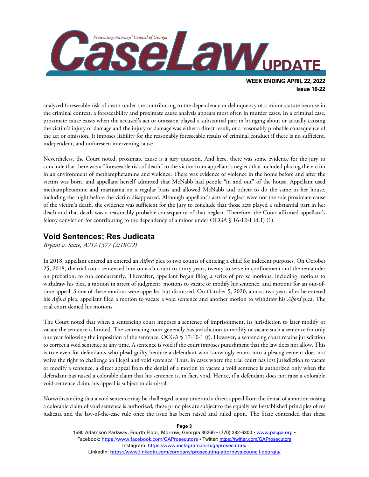

**Issue 16-22**

analyzed foreseeable risk of death under the contributing to the dependency or delinquency of a minor statute because in the criminal context, a foreseeability and proximate cause analysis appears most often in murder cases. In a criminal case, proximate cause exists when the accused's act or omission played a substantial part in bringing about or actually causing the victim's injury or damage and the injury or damage was either a direct result, or a reasonably probable consequence of the act or omission. It imposes liability for the reasonably foreseeable results of criminal conduct if there is no sufficient, independent, and unforeseen intervening cause.

Nevertheless, the Court noted, proximate cause is a jury question. And here, there was some evidence for the jury to conclude that there was a "foreseeable risk of death" to the victim from appellant's neglect that included placing the victim in an environment of methamphetamine and violence. There was evidence of violence in the home before and after the victim was born, and appellant herself admitted that McNabb had people "in and out" of the house. Appellant used methamphetamine and marijuana on a regular basis and allowed McNabb and others to do the same in her house, including the night before the victim disappeared. Although appellant's acts of neglect were not the sole proximate cause of the victim's death, the evidence was sufficient for the jury to conclude that those acts played a substantial part in her death and that death was a reasonably probable consequence of that neglect. Therefore, the Court affirmed appellant's felony conviction for contributing to the dependency of a minor under OCGA  $\S$  16-12-1 (d.1) (1).

### **Void Sentences; Res Judicata**

*Bryant v. State, A21A1377 (2/18/22)*

In 2018, appellant entered an entered an *Alford* plea to two counts of enticing a child for indecent purposes. On October 25, 2018, the trial court sentenced him on each count to thirty years, twenty to serve in confinement and the remainder on probation, to run concurrently. Thereafter, appellant began filing a series of pro se motions, including motions to withdraw his plea, a motion in arrest of judgment, motions to vacate or modify his sentence, and motions for an out-oftime appeal. Some of these motions were appealed but dismissed. On October 5, 2020, almost two years after he entered his *Alford* plea, appellant filed a motion to vacate a void sentence and another motion to withdraw his *Alford* plea. The trial court denied his motions.

The Court noted that when a sentencing court imposes a sentence of imprisonment, its jurisdiction to later modify or vacate the sentence is limited. The sentencing court generally has jurisdiction to modify or vacate such a sentence for only one year following the imposition of the sentence. OCGA § 17-10-1 (f). However, a sentencing court retains jurisdiction to correct a void sentence at any time. A sentence is void if the court imposes punishment that the law does not allow. This is true even for defendants who plead guilty because a defendant who knowingly enters into a plea agreement does not waive the right to challenge an illegal and void sentence. Thus, in cases where the trial court has lost jurisdiction to vacate or modify a sentence, a direct appeal from the denial of a motion to vacate a void sentence is authorized only when the defendant has raised a colorable claim that his sentence is, in fact, void. Hence, if a defendant does not raise a colorable void-sentence claim, his appeal is subject to dismissal.

Notwithstanding that a void sentence may be challenged at any time and a direct appeal from the denial of a motion raising a colorable claim of void sentence is authorized, these principles are subject to the equally well-established principles of res judicata and the law-of-the-case rule once the issue has been raised and ruled upon. The State contended that these

1590 Adamson Parkway, Fourth Floor, Morrow, Georgia 30260 · (770) 282-6300 · www.pacqa.org · Facebook:<https://www.facebook.com/GAProsecutors> . Twitter[: https://twitter.com/GAProsecutors](https://twitter.com/GAProsecutors) Instagram[: https://www.instagram.com/gaprosecutors/](https://www.instagram.com/gaprosecutors/) LinkedIn:<https://www.linkedin.com/company/prosecuting-attorneys-council-georgia/>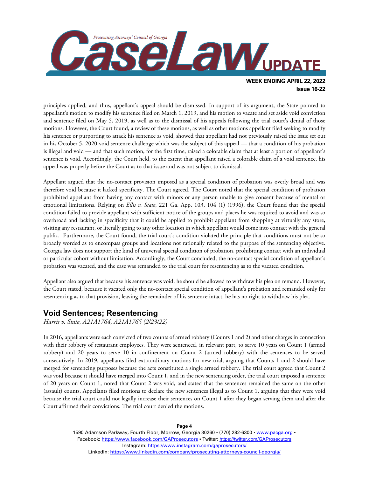

principles applied, and thus, appellant's appeal should be dismissed. In support of its argument, the State pointed to appellant's motion to modify his sentence filed on March 1, 2019, and his motion to vacate and set aside void conviction and sentence filed on May 5, 2019, as well as to the dismissal of his appeals following the trial court's denial of those motions. However, the Court found, a review of these motions, as well as other motions appellant filed seeking to modify his sentence or purporting to attack his sentence as void, showed that appellant had not previously raised the issue set out in his October 5, 2020 void sentence challenge which was the subject of this appeal — that a condition of his probation is illegal and void — and that such motion, for the first time, raised a colorable claim that at least a portion of appellant's sentence is void. Accordingly, the Court held, to the extent that appellant raised a colorable claim of a void sentence, his appeal was properly before the Court as to that issue and was not subject to dismissal.

Appellant argued that the no-contact provision imposed as a special condition of probation was overly broad and was therefore void because it lacked specificity. The Court agreed. The Court noted that the special condition of probation prohibited appellant from having any contact with minors or any person unable to give consent because of mental or emotional limitations. Relying on *Ellis v. State*, 221 Ga. App. 103, 104 (1) (1996), the Court found that the special condition failed to provide appellant with sufficient notice of the groups and places he was required to avoid and was so overbroad and lacking in specificity that it could be applied to prohibit appellant from shopping at virtually any store, visiting any restaurant, or literally going to any other location in which appellant would come into contact with the general public. Furthermore, the Court found, the trial court's condition violated the principle that conditions must not be so broadly worded as to encompass groups and locations not rationally related to the purpose of the sentencing objective. Georgia law does not support the kind of universal special condition of probation, prohibiting contact with an individual or particular cohort without limitation. Accordingly, the Court concluded, the no-contact special condition of appellant's probation was vacated, and the case was remanded to the trial court for resentencing as to the vacated condition.

Appellant also argued that because his sentence was void, he should be allowed to withdraw his plea on remand. However, the Court stated, because it vacated only the no-contact special condition of appellant's probation and remanded only for resentencing as to that provision, leaving the remainder of his sentence intact, he has no right to withdraw his plea.

#### **Void Sentences; Resentencing**

*Harris v. State, A21A1764, A21A1765 (2/23/22)*

In 2016, appellants were each convicted of two counts of armed robbery (Counts 1 and 2) and other charges in connection with their robbery of restaurant employees. They were sentenced, in relevant part, to serve 10 years on Count 1 (armed robbery) and 20 years to serve 10 in confinement on Count 2 (armed robbery) with the sentences to be served consecutively. In 2019, appellants filed extraordinary motions for new trial, arguing that Counts 1 and 2 should have merged for sentencing purposes because the acts constituted a single armed robbery. The trial court agreed that Count 2 was void because it should have merged into Count 1, and in the new sentencing order, the trial court imposed a sentence of 20 years on Count 1, noted that Count 2 was void, and stated that the sentences remained the same on the other (assault) counts. Appellants filed motions to declare the new sentences illegal as to Count 1, arguing that they were void because the trial court could not legally increase their sentences on Count 1 after they began serving them and after the Court affirmed their convictions. The trial court denied the motions.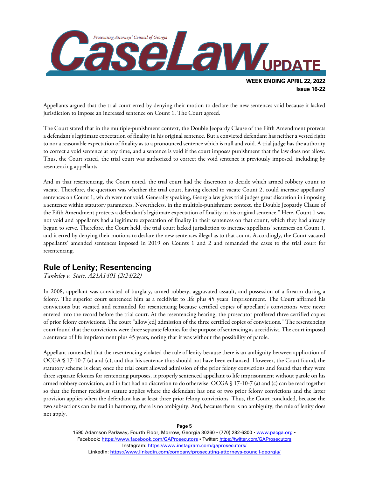

Appellants argued that the trial court erred by denying their motion to declare the new sentences void because it lacked jurisdiction to impose an increased sentence on Count 1. The Court agreed.

The Court stated that in the multiple-punishment context, the Double Jeopardy Clause of the Fifth Amendment protects a defendant's legitimate expectation of finality in his original sentence. But a convicted defendant has neither a vested right to nor a reasonable expectation of finality as to a pronounced sentence which is null and void. A trial judge has the authority to correct a void sentence at any time, and a sentence is void if the court imposes punishment that the law does not allow. Thus, the Court stated, the trial court was authorized to correct the void sentence it previously imposed, including by resentencing appellants.

And in that resentencing, the Court noted, the trial court had the discretion to decide which armed robbery count to vacate. Therefore, the question was whether the trial court, having elected to vacate Count 2, could increase appellants' sentences on Count 1, which were not void. Generally speaking, Georgia law gives trial judges great discretion in imposing a sentence within statutory parameters. Nevertheless, in the multiple-punishment context, the Double Jeopardy Clause of the Fifth Amendment protects a defendant's legitimate expectation of finality in his original sentence." Here, Count 1 was not void and appellants had a legitimate expectation of finality in their sentences on that count, which they had already begun to serve. Therefore, the Court held, the trial court lacked jurisdiction to increase appellants' sentences on Count 1, and it erred by denying their motions to declare the new sentences illegal as to that count. Accordingly, the Court vacated appellants' amended sentences imposed in 2019 on Counts 1 and 2 and remanded the cases to the trial court for resentencing.

# **Rule of Lenity; Resentencing**

*Tanksley v. State, A21A1401 (2/24/22)*

In 2008, appellant was convicted of burglary, armed robbery, aggravated assault, and possession of a firearm during a felony. The superior court sentenced him as a recidivist to life plus 45 years' imprisonment. The Court affirmed his convictions but vacated and remanded for resentencing because certified copies of appellant's convictions were never entered into the record before the trial court. At the resentencing hearing, the prosecutor proffered three certified copies of prior felony convictions. The court "allow[ed] admission of the three certified copies of convictions." The resentencing court found that the convictions were three separate felonies for the purpose of sentencing as a recidivist. The court imposed a sentence of life imprisonment plus 45 years, noting that it was without the possibility of parole.

Appellant contended that the resentencing violated the rule of lenity because there is an ambiguity between application of OCGA § 17-10-7 (a) and (c), and that his sentence thus should not have been enhanced. However, the Court found, the statutory scheme is clear; once the trial court allowed admission of the prior felony convictions and found that they were three separate felonies for sentencing purposes, it properly sentenced appellant to life imprisonment without parole on his armed robbery conviction, and in fact had no discretion to do otherwise. OCGA § 17-10-7 (a) and (c) can be read together so that the former recidivist statute applies where the defendant has one or two prior felony convictions and the latter provision applies when the defendant has at least three prior felony convictions. Thus, the Court concluded, because the two subsections can be read in harmony, there is no ambiguity. And, because there is no ambiguity, the rule of lenity does not apply.

**Page 5**

1590 Adamson Parkway, Fourth Floor, Morrow, Georgia 30260 · (770) 282-6300 · [www.pacga.org](http://www.pacga.org/) · Facebook:<https://www.facebook.com/GAProsecutors> . Twitter[: https://twitter.com/GAProsecutors](https://twitter.com/GAProsecutors) Instagram[: https://www.instagram.com/gaprosecutors/](https://www.instagram.com/gaprosecutors/) LinkedIn:<https://www.linkedin.com/company/prosecuting-attorneys-council-georgia/>